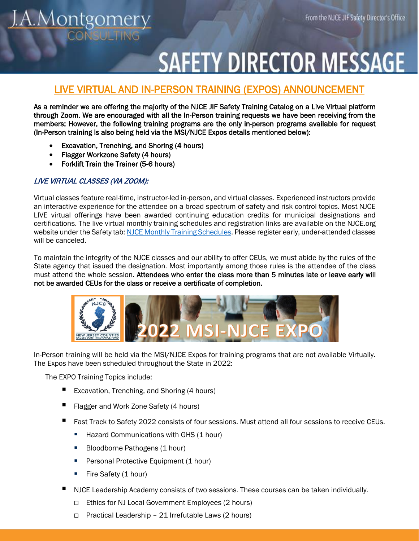# .A.Montgomery

## **SAFETY DIRECTOR MESSAGE**

### LIVE VIRTUAL AND IN-PERSON TRAINING (EXPOS) ANNOUNCEMENT

As a reminder we are offering the majority of the NJCE JIF Safety Training Catalog on a Live Virtual platform through Zoom. We are encouraged with all the In-Person training requests we have been receiving from the members; However, the following training programs are the only in-person programs available for request (In-Person training is also being held via the MSI/NJCE Expos details mentioned below):

- Excavation, Trenching, and Shoring (4 hours)
- Flagger Workzone Safety (4 hours)
- Forklift Train the Trainer (5-6 hours)

#### LIVE VIRTUAL CLASSES (VIA ZOOM):

Virtual classes feature real-time, instructor-led in-person, and virtual classes. Experienced instructors provide an interactive experience for the attendee on a broad spectrum of safety and risk control topics. Most NJCE LIVE virtual offerings have been awarded continuing education credits for municipal designations and certifications. The live virtual monthly training schedules and registration links are available on the NJCE.org website under the Safety tab[: NJCE Monthly Training Schedules.](https://njce.org/safety/safety-webinars/) Please register early, under-attended classes will be canceled.

To maintain the integrity of the NJCE classes and our ability to offer CEUs, we must abide by the rules of the State agency that issued the designation. Most importantly among those rules is the attendee of the class must attend the whole session. Attendees who enter the class more than 5 minutes late or leave early will not be awarded CEUs for the class or receive a certificate of completion.



In-Person training will be held via the MSI/NJCE Expos for training programs that are not available Virtually. The Expos have been scheduled throughout the State in 2022:

The EXPO Training Topics include:

- Excavation, Trenching, and Shoring (4 hours)
- Flagger and Work Zone Safety (4 hours)
- Fast Track to Safety 2022 consists of four sessions. Must attend all four sessions to receive CEUs.
	- Hazard Communications with GHS (1 hour)
	- Bloodborne Pathogens (1 hour)
	- **Personal Protective Equipment (1 hour)**
	- Fire Safety  $(1 hour)$
- NJCE Leadership Academy consists of two sessions. These courses can be taken individually.
	- Ethics for NJ Local Government Employees (2 hours)
	- $\Box$  Practical Leadership 21 Irrefutable Laws (2 hours)